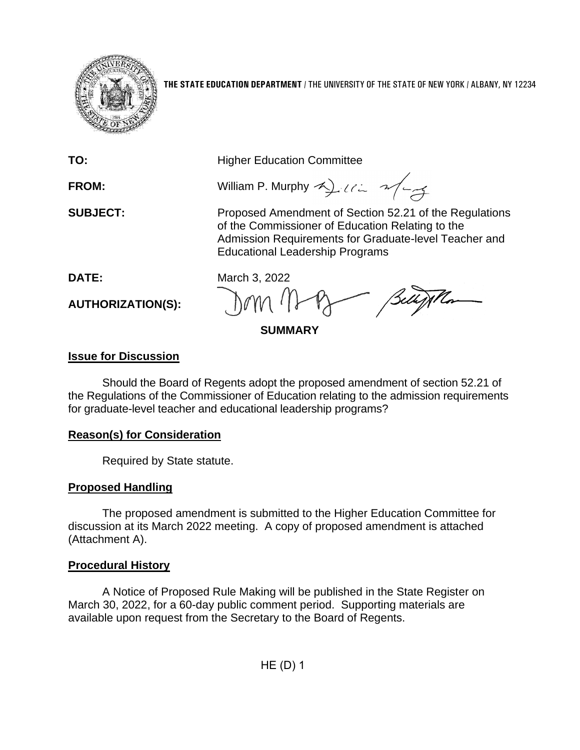

**THE STATE EDUCATION DEPARTMENT** / THE UNIVERSITY OF THE STATE OF NEW YORK / ALBANY, NY 12234

**TO:** Higher Education Committee

**FROM:** William P. Murphy 4)  $\ell \in \mathcal{A}$ 

**SUBJECT:** Proposed Amendment of Section 52.21 of the Regulations of the Commissioner of Education Relating to the Admission Requirements for Graduate-level Teacher and Educational Leadership Programs

**AUTHORIZATION(S):**

**DATE:** March 3, 2022

**SUMMARY**

### **Issue for Discussion**

Should the Board of Regents adopt the proposed amendment of section 52.21 of the Regulations of the Commissioner of Education relating to the admission requirements for graduate-level teacher and educational leadership programs?

## **Reason(s) for Consideration**

Required by State statute.

# **Proposed Handling**

The proposed amendment is submitted to the Higher Education Committee for discussion at its March 2022 meeting. A copy of proposed amendment is attached (Attachment A).

## **Procedural History**

A Notice of Proposed Rule Making will be published in the State Register on March 30, 2022, for a 60-day public comment period. Supporting materials are available upon request from the Secretary to the Board of Regents.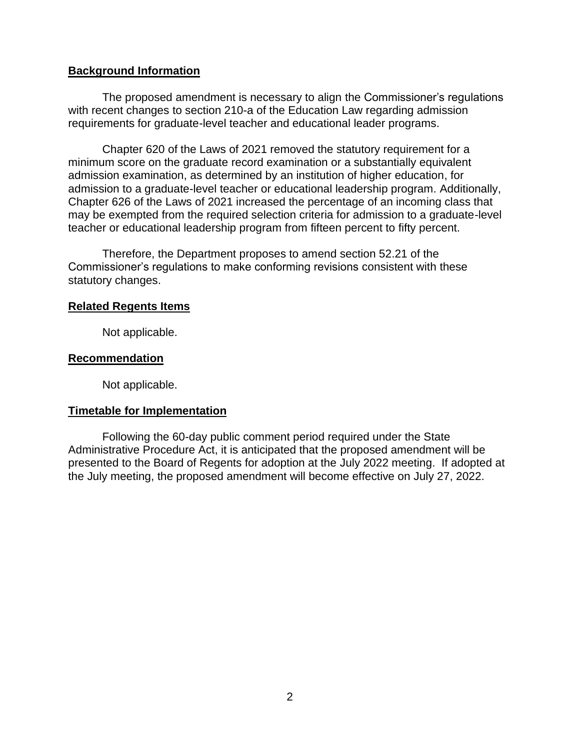### **Background Information**

The proposed amendment is necessary to align the Commissioner's regulations with recent changes to section 210-a of the Education Law regarding admission requirements for graduate-level teacher and educational leader programs.

Chapter 620 of the Laws of 2021 removed the statutory requirement for a minimum score on the graduate record examination or a substantially equivalent admission examination, as determined by an institution of higher education, for admission to a graduate-level teacher or educational leadership program. Additionally, Chapter 626 of the Laws of 2021 increased the percentage of an incoming class that may be exempted from the required selection criteria for admission to a graduate-level teacher or educational leadership program from fifteen percent to fifty percent.

Therefore, the Department proposes to amend section 52.21 of the Commissioner's regulations to make conforming revisions consistent with these statutory changes.

#### **Related Regents Items**

Not applicable.

### **Recommendation**

Not applicable.

### **Timetable for Implementation**

Following the 60-day public comment period required under the State Administrative Procedure Act, it is anticipated that the proposed amendment will be presented to the Board of Regents for adoption at the July 2022 meeting. If adopted at the July meeting, the proposed amendment will become effective on July 27, 2022.